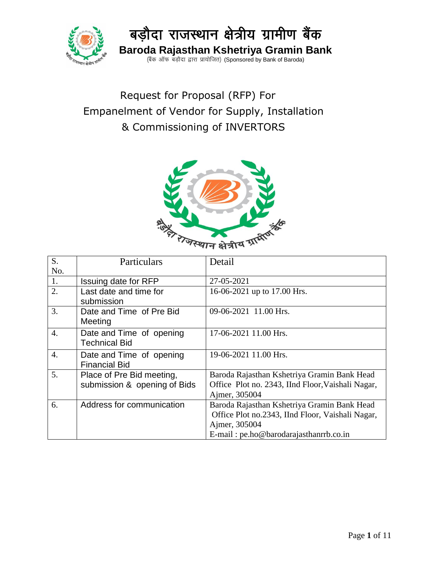

# Request for Proposal (RFP) For Empanelment of Vendor for Supply, Installation & Commissioning of INVERTORS



| S.               | Particulars                                               | Detail                                                                                                                                                     |
|------------------|-----------------------------------------------------------|------------------------------------------------------------------------------------------------------------------------------------------------------------|
| No.              |                                                           |                                                                                                                                                            |
| 1.               | Issuing date for RFP                                      | 27-05-2021                                                                                                                                                 |
| 2.               | Last date and time for<br>submission                      | 16-06-2021 up to 17.00 Hrs.                                                                                                                                |
| $\overline{3}$ . | Date and Time of Pre Bid<br>Meeting                       | 09-06-2021 11.00 Hrs.                                                                                                                                      |
| $\overline{4}$ . | Date and Time of opening<br><b>Technical Bid</b>          | 17-06-2021 11.00 Hrs.                                                                                                                                      |
| $\overline{4}$ . | Date and Time of opening<br><b>Financial Bid</b>          | 19-06-2021 11.00 Hrs.                                                                                                                                      |
| 5.               | Place of Pre Bid meeting,<br>submission & opening of Bids | Baroda Rajasthan Kshetriya Gramin Bank Head<br>Office Plot no. 2343, IInd Floor, Vaishali Nagar,<br>Ajmer, 305004                                          |
| 6.               | Address for communication                                 | Baroda Rajasthan Kshetriya Gramin Bank Head<br>Office Plot no.2343, IInd Floor, Vaishali Nagar,<br>Ajmer, 305004<br>E-mail: pe.ho@barodarajasthanrrb.co.in |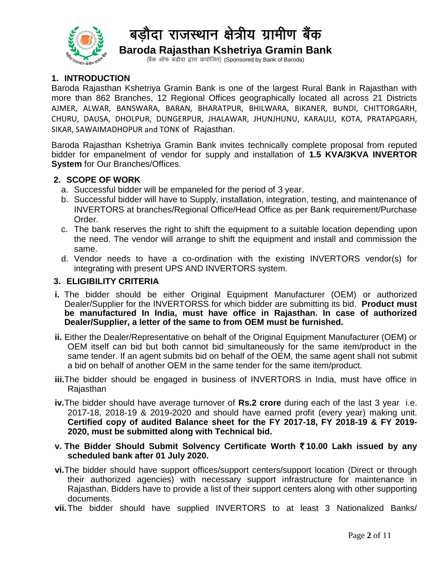

(बैंक ऑफ बड़ौदा द्वारा प्रायोजित) (Sponsored by Bank of Baroda)

### **1. INTRODUCTION**

Baroda Rajasthan Kshetriya Gramin Bank is one of the largest Rural Bank in Rajasthan with more than 862 Branches, 12 Regional Offices geographically located all across 21 Districts AJMER, ALWAR, BANSWARA, BARAN, BHARATPUR, BHILWARA, BIKANER, BUNDI, CHITTORGARH, CHURU, DAUSA, DHOLPUR, DUNGERPUR, JHALAWAR, JHUNJHUNU, KARAULI, KOTA, PRATAPGARH, SIKAR, SAWAIMADHOPUR and TONK of Rajasthan.

Baroda Rajasthan Kshetriya Gramin Bank invites technically complete proposal from reputed bidder for empanelment of vendor for supply and installation of **1.5 KVA/3KVA INVERTOR System** for Our Branches/Offices.

#### **2. SCOPE OF WORK**

- a. Successful bidder will be empaneled for the period of 3 year.
- b. Successful bidder will have to Supply, installation, integration, testing, and maintenance of INVERTORS at branches/Regional Office/Head Office as per Bank requirement/Purchase Order.
- c. The bank reserves the right to shift the equipment to a suitable location depending upon the need. The vendor will arrange to shift the equipment and install and commission the same.
- d. Vendor needs to have a co-ordination with the existing INVERTORS vendor(s) for integrating with present UPS AND INVERTORS system.

#### **3. ELIGIBILITY CRITERIA**

- **i.** The bidder should be either Original Equipment Manufacturer (OEM) or authorized Dealer/Supplier for the INVERTORSS for which bidder are submitting its bid. **Product must be manufactured In India, must have office in Rajasthan. In case of authorized Dealer/Supplier, a letter of the same to from OEM must be furnished.**
- **ii.** Either the Dealer/Representative on behalf of the Original Equipment Manufacturer (OEM) or OEM itself can bid but both cannot bid simultaneously for the same item/product in the same tender. If an agent submits bid on behalf of the OEM, the same agent shall not submit a bid on behalf of another OEM in the same tender for the same item/product.
- **iii.**The bidder should be engaged in business of INVERTORS in India, must have office in Rajasthan
- **iv.**The bidder should have average turnover of **Rs.2 crore** during each of the last 3 year i.e. 2017-18, 2018-19 & 2019-2020 and should have earned profit (every year) making unit. **Certified copy of audited Balance sheet for the FY 2017-18, FY 2018-19 & FY 2019- 2020, must be submitted along with Technical bid.**

#### **v. The Bidder Should Submit Solvency Certificate Worth** `**10.00 Lakh issued by any scheduled bank after 01 July 2020.**

- **vi.**The bidder should have support offices/support centers/support location (Direct or through their authorized agencies) with necessary support infrastructure for maintenance in Rajasthan. Bidders have to provide a list of their support centers along with other supporting documents.
- **vii.**The bidder should have supplied INVERTORS to at least 3 Nationalized Banks/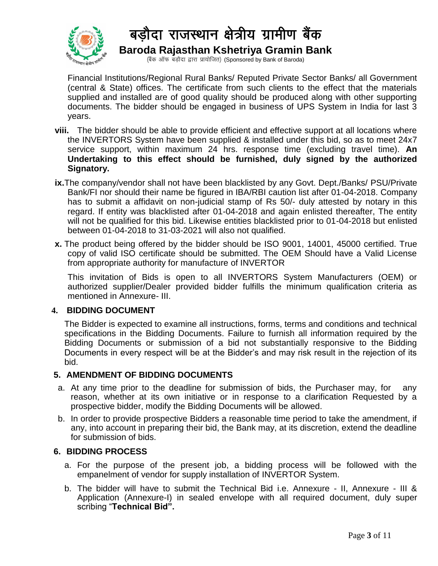

(बैंक ऑफ बड़ौदा द्वारा प्रायोजित) (Sponsored by Bank of Baroda)

Financial Institutions/Regional Rural Banks/ Reputed Private Sector Banks/ all Government (central & State) offices. The certificate from such clients to the effect that the materials supplied and installed are of good quality should be produced along with other supporting documents. The bidder should be engaged in business of UPS System in India for last 3 years.

- **viii.** The bidder should be able to provide efficient and effective support at all locations where the INVERTORS System have been supplied & installed under this bid, so as to meet 24x7 service support, within maximum 24 hrs. response time (excluding travel time). **An Undertaking to this effect should be furnished, duly signed by the authorized Signatory.**
- **ix.**The company/vendor shall not have been blacklisted by any Govt. Dept./Banks/ PSU/Private Bank/FI nor should their name be figured in IBA/RBI caution list after 01-04-2018. Company has to submit a affidavit on non-judicial stamp of Rs 50/- duly attested by notary in this regard. If entity was blacklisted after 01-04-2018 and again enlisted thereafter, The entity will not be qualified for this bid. Likewise entities blacklisted prior to 01-04-2018 but enlisted between 01-04-2018 to 31-03-2021 will also not qualified.
- **x.** The product being offered by the bidder should be ISO 9001, 14001, 45000 certified. True copy of valid ISO certificate should be submitted. The OEM Should have a Valid License from appropriate authority for manufacture of INVERTOR

This invitation of Bids is open to all INVERTORS System Manufacturers (OEM) or authorized supplier/Dealer provided bidder fulfills the minimum qualification criteria as mentioned in Annexure- III.

#### **4. BIDDING DOCUMENT**

The Bidder is expected to examine all instructions, forms, terms and conditions and technical specifications in the Bidding Documents. Failure to furnish all information required by the Bidding Documents or submission of a bid not substantially responsive to the Bidding Documents in every respect will be at the Bidder's and may risk result in the rejection of its bid.

#### **5. AMENDMENT OF BIDDING DOCUMENTS**

- a. At any time prior to the deadline for submission of bids, the Purchaser may, for any reason, whether at its own initiative or in response to a clarification Requested by a prospective bidder, modify the Bidding Documents will be allowed.
- b. In order to provide prospective Bidders a reasonable time period to take the amendment, if any, into account in preparing their bid, the Bank may, at its discretion, extend the deadline for submission of bids.

#### **6. BIDDING PROCESS**

- a. For the purpose of the present job, a bidding process will be followed with the empanelment of vendor for supply installation of INVERTOR System.
- b. The bidder will have to submit the Technical Bid i.e. Annexure II, Annexure III & Application (Annexure-I) in sealed envelope with all required document, duly super scribing "**Technical Bid".**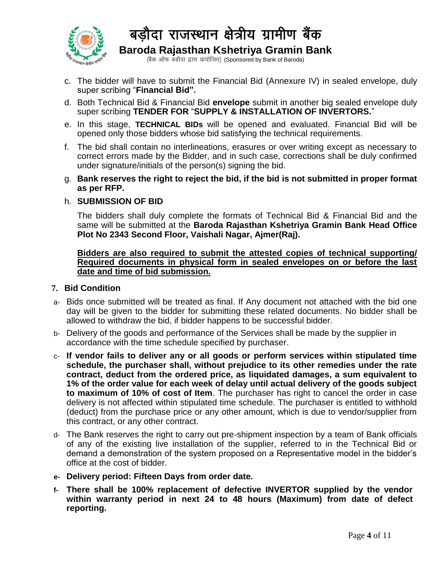

(बैंक ऑफ बड़ौदा द्वारा प्रायोजित) (Sponsored by Bank of Baroda)

- c. The bidder will have to submit the Financial Bid (Annexure IV) in sealed envelope, duly super scribing "**Financial Bid".**
- d. Both Technical Bid & Financial Bid **envelope** submit in another big sealed envelope duly super scribing **TENDER FOR** "**SUPPLY & INSTALLATION OF INVERTORS.**"
- e. In this stage, **TECHNICAL BIDs** will be opened and evaluated. Financial Bid will be opened only those bidders whose bid satisfying the technical requirements.
- f. The bid shall contain no interlineations, erasures or over writing except as necessary to correct errors made by the Bidder, and in such case, corrections shall be duly confirmed under signature/initials of the person(s) signing the bid.
- g. **Bank reserves the right to reject the bid, if the bid is not submitted in proper format as per RFP.**

#### h. **SUBMISSION OF BID**

The bidders shall duly complete the formats of Technical Bid & Financial Bid and the same will be submitted at the **Baroda Rajasthan Kshetriya Gramin Bank Head Office Plot No 2343 Second Floor, Vaishali Nagar, Ajmer(Raj).** 

**Bidders are also required to submit the attested copies of technical supporting/ Required documents in physical form in sealed envelopes on or before the last date and time of bid submission.**

#### **7. Bid Condition**

- a- Bids once submitted will be treated as final. If Any document not attached with the bid one day will be given to the bidder for submitting these related documents. No bidder shall be allowed to withdraw the bid, if bidder happens to be successful bidder.
- b- Delivery of the goods and performance of the Services shall be made by the supplier in accordance with the time schedule specified by purchaser.
- c- **If vendor fails to deliver any or all goods or perform services within stipulated time schedule, the purchaser shall, without prejudice to its other remedies under the rate contract, deduct from the ordered price, as liquidated damages, a sum equivalent to 1% of the order value for each week of delay until actual delivery of the goods subject to maximum of 10% of cost of Item**. The purchaser has right to cancel the order in case delivery is not affected within stipulated time schedule. The purchaser is entitled to withhold (deduct) from the purchase price or any other amount, which is due to vendor/supplier from this contract, or any other contract.
- d- The Bank reserves the right to carry out pre-shipment inspection by a team of Bank officials of any of the existing live installation of the supplier, referred to in the Technical Bid or demand a demonstration of the system proposed on a Representative model in the bidder's office at the cost of bidder.
- **e- Delivery period: Fifteen Days from order date.**
- **f- There shall be 100% replacement of defective INVERTOR supplied by the vendor within warranty period in next 24 to 48 hours (Maximum) from date of defect reporting.**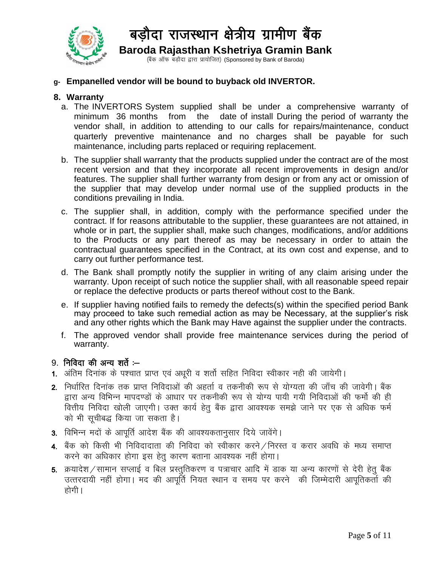

(बैंक ऑफ बड़ौदा द्वारा प्रायोजित) (Sponsored by Bank of Baroda)

### **g- Empanelled vendor will be bound to buyback old INVERTOR.**

### **8. Warranty**

- a. The INVERTORS System supplied shall be under a comprehensive warranty of minimum 36 months from the date of install During the period of warranty the vendor shall, in addition to attending to our calls for repairs/maintenance, conduct quarterly preventive maintenance and no charges shall be payable for such maintenance, including parts replaced or requiring replacement.
- b. The supplier shall warranty that the products supplied under the contract are of the most recent version and that they incorporate all recent improvements in design and/or features. The supplier shall further warranty from design or from any act or omission of the supplier that may develop under normal use of the supplied products in the conditions prevailing in India.
- c. The supplier shall, in addition, comply with the performance specified under the contract. If for reasons attributable to the supplier, these guarantees are not attained, in whole or in part, the supplier shall, make such changes, modifications, and/or additions to the Products or any part thereof as may be necessary in order to attain the contractual guarantees specified in the Contract, at its own cost and expense, and to carry out further performance test.
- d. The Bank shall promptly notify the supplier in writing of any claim arising under the warranty. Upon receipt of such notice the supplier shall, with all reasonable speed repair or replace the defective products or parts thereof without cost to the Bank.
- e. If supplier having notified fails to remedy the defects(s) within the specified period Bank may proceed to take such remedial action as may be Necessary, at the supplier's risk and any other rights which the Bank may Have against the supplier under the contracts.
- f. The approved vendor shall provide free maintenance services during the period of warranty.

## $9.$  निविदा की अन्य शर्ते : $-$

- 1. अंतिम दिनांक के पश्चात प्राप्त एवं अधूरी व शर्तो सहित निविदा स्वीकार नही की जायेगी।
- 2. निर्धारित दिनांक तक प्राप्त निविदाओं की अहर्ता व तकनीकी रूप से योग्यता की जाँच की जावेगी। बैंक द्वारा अन्य विभिन्न मापदण्डों के आधार पर तकनीकी रूप से योग्य पायी गयी निविदाओं की फर्मो की ही वित्तीय निविदा खोली जाएगी। उक्त कार्य हेतू बैंक द्वारा आवश्यक समझे जाने पर एक से अधिक फर्म को भी सूचीबद्ध किया जा सकता है।
- 3. विभिन्न मदों के आपूर्ति आदेश बैंक की आवश्यकतानुसार दिये जावेंगे।<br>संस्कृत के बाद बाद बाद कर बाद कर बाद कर कर बाद कर बाद कर बाद कर बाद कर बाद कर बाद कर बाद कर बाद कर बाद कर बाद
- 4. बैंक को किसी भी निविदादाता की निविदा को स्वीकार करने / निरस्त व करार अवधि के मध्य समाप्त करने का अधिकार होगा इस हेतु कारण बताना आवश्यक नहीं होगा।
- 5. क्रयादेश / सामान सप्लाई व बिल प्रस्तुतिकरण व पत्राचार आदि में डाक या अन्य कारणों से देरी हेतू बैंक उत्तरदायी नहीं होगा। मद की आपूर्ति नियत स्थान व समय पर करने की जिम्मेदारी आपूतिकर्ता की होगी ।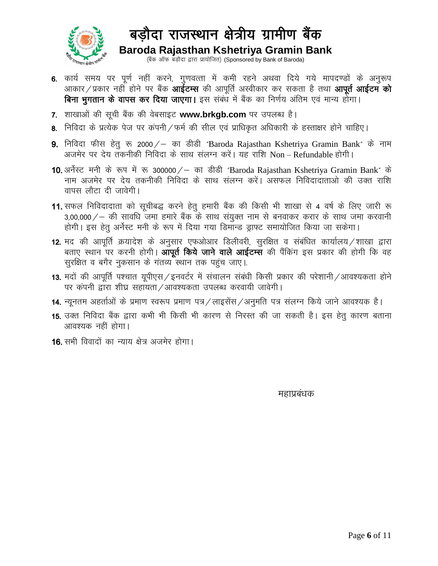

(बैंक ऑफ बड़ौदा द्वारा प्रायोजित) (Sponsored by Bank of Baroda)

- 6. कार्य समय पर पूर्ण नहीं करने, गुणवत्ता में कमी रहने अथवा दिये गये मापदण्डों के अनुरूप आकार / प्रकार नहीं होने पर बैंक **आईटम्स** की आपूर्ति अस्वीकार कर सकता है तथा **आपूर्त आईटम को** बिना भुगतान के वापस कर दिया जाएगा। इस संबंध में बैंक का निर्णय अंतिम एवं मान्य होगा।
- 7. शाखाओं की सूची बैंक की वेबसाइट www.brkgb.com पर उपलब्ध है।
- 8. निविदा के प्रत्येक पेज पर कंपनी / फर्म की सील एवं प्राधिकृत अधिकारी के हस्ताक्षर होने चाहिए।
- 9. निविदा फीस हेतु रू 2000 / का डीडी "Baroda Rajasthan Kshetriya Gramin Bank" के नाम अजमेर पर देय तकनीकी निविदा के साथ संलग्न करें। यह राशि Non–Refundable होगी।
- 10. अर्नेस्ट मनी के रूप में रू 300000 / का डीडी "Baroda Rajasthan Kshetriya Gramin Bank" के नाम अजमेर पर देय तकनीकी निविदा के साथ संलग्न करें। असफल निविदादाताओ की उक्त राशि वापस लौटा दी जावेगी।
- 11. सफल निविदादाता को सूचीबद्ध करने हेतू हमारी बैंक की किसी भी शाखा से 4 वर्ष के लिए जारी रू  $3,00,000/-$  की सावधि जमा हमारे बैंक के साथ संयुक्त नाम से बनवाकर करार के साथ जमा करवानी होगी। इस हेतु अर्नेस्ट मनी के रूप में दिया गया डिमान्ड ड्राफ्ट समायोजित किया जा सकेगा।
- 12. मद की आपूर्ति क्रयादेश के अनुसार एफओआर डिलीवरी, सुरक्षित व संबंधित कार्यालय /शाखा द्वारा बताए स्थान पर करनी होगी। आपूर्त किये जाने वाले आईटम्स की पैंकिंग इस प्रकार की होगी कि वह सुरक्षित व बगैर नुकसान के गंतव्य स्थान तक पहुंच जाए।
- 13. मदों की आपूर्ति पश्चात यूपीएस / इनवर्टर में संचालन संबंधी किसी प्रकार की परेशानी / आवश्यकता होने पर कंपनी द्वारा शीघ्र सहायता ⁄ आवश्यकता उपलब्ध करवायी जावेगी।
- 14. न्यूनतम अहर्ताओं के प्रमाण स्वरूप प्रमाण पत्र / लाइसेंस / अनुमति पत्र संलग्न किये जाने आवश्यक है।
- 15. उक्त निविदा बैंक द्वारा कभी भी किसी भी कारण से निरस्त की जा सकती है। इस हेतू कारण बताना आवश्यक नहीं होगा।
- 16. सभी विवादों का न्याय क्षेत्र अजमेर होगा।

## egkizca/kd/wata-kd/wata-kd/wata-kd/wata-kd/wata-kd/wata-kd/wata-kd/wata-kd/wata-kd/wata-kd/wata-kd/w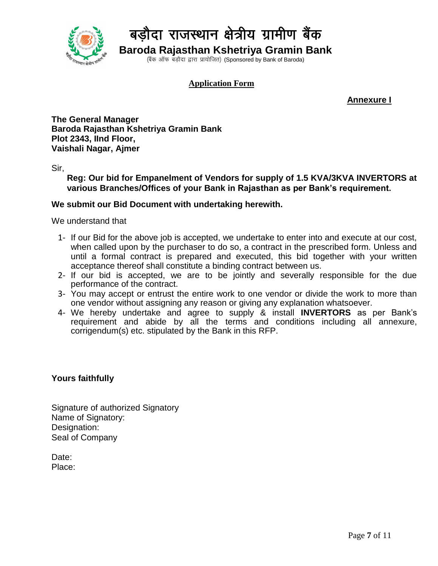

(बैंक ऑफ बड़ौदा द्वारा प्रायोजित) (Sponsored by Bank of Baroda)

#### **Application Form**

**Annexure I**

**The General Manager Baroda Rajasthan Kshetriya Gramin Bank Plot 2343, IInd Floor, Vaishali Nagar, Ajmer**

Sir,

**Reg: Our bid for Empanelment of Vendors for supply of 1.5 KVA/3KVA INVERTORS at various Branches/Offices of your Bank in Rajasthan as per Bank's requirement.**

#### **We submit our Bid Document with undertaking herewith.**

We understand that

- 1- If our Bid for the above job is accepted, we undertake to enter into and execute at our cost, when called upon by the purchaser to do so, a contract in the prescribed form. Unless and until a formal contract is prepared and executed, this bid together with your written acceptance thereof shall constitute a binding contract between us.
- 2- If our bid is accepted, we are to be jointly and severally responsible for the due performance of the contract.
- 3- You may accept or entrust the entire work to one vendor or divide the work to more than one vendor without assigning any reason or giving any explanation whatsoever.
- 4- We hereby undertake and agree to supply & install **INVERTORS** as per Bank's requirement and abide by all the terms and conditions including all annexure, corrigendum(s) etc. stipulated by the Bank in this RFP.

#### **Yours faithfully**

Signature of authorized Signatory Name of Signatory: Designation: Seal of Company

Date: Place: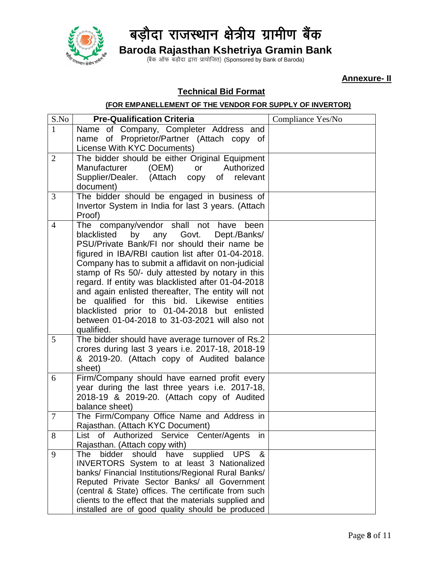

(बैंक ऑफ बड़ौदा द्वारा प्रायोजित) (Sponsored by Bank of Baroda)

**Annexure- II**

### **Technical Bid Format**

#### **(FOR EMPANELLEMENT OF THE VENDOR FOR SUPPLY OF INVERTOR)**

| S.No           | <b>Pre-Qualification Criteria</b>                                                              | Compliance Yes/No |
|----------------|------------------------------------------------------------------------------------------------|-------------------|
| $\mathbf{1}$   | Name of Company, Completer Address and                                                         |                   |
|                | name of Proprietor/Partner (Attach copy of                                                     |                   |
|                | License With KYC Documents)                                                                    |                   |
| $\overline{2}$ | The bidder should be either Original Equipment                                                 |                   |
|                | (OEM)<br><b>Manufacturer</b><br>Authorized<br>or                                               |                   |
|                | Supplier/Dealer.<br>(Attach copy<br>of relevant                                                |                   |
|                | document)                                                                                      |                   |
| 3              | The bidder should be engaged in business of                                                    |                   |
|                | Invertor System in India for last 3 years. (Attach                                             |                   |
|                | Proof)                                                                                         |                   |
| $\overline{4}$ | The company/vendor shall not<br>have<br>been                                                   |                   |
|                | blacklisted<br>by<br>Govt.<br>any<br>Dept./Banks/                                              |                   |
|                | PSU/Private Bank/FI nor should their name be                                                   |                   |
|                | figured in IBA/RBI caution list after 01-04-2018.                                              |                   |
|                | Company has to submit a affidavit on non-judicial                                              |                   |
|                | stamp of Rs 50/- duly attested by notary in this                                               |                   |
|                | regard. If entity was blacklisted after 01-04-2018                                             |                   |
|                | and again enlisted thereafter, The entity will not                                             |                   |
|                | be qualified for this bid. Likewise entities                                                   |                   |
|                | blacklisted prior to 01-04-2018 but enlisted<br>between 01-04-2018 to 31-03-2021 will also not |                   |
|                | qualified.                                                                                     |                   |
| 5              | The bidder should have average turnover of Rs.2                                                |                   |
|                | crores during last 3 years i.e. 2017-18, 2018-19                                               |                   |
|                | & 2019-20. (Attach copy of Audited balance                                                     |                   |
|                | sheet)                                                                                         |                   |
| 6              | Firm/Company should have earned profit every                                                   |                   |
|                | year during the last three years i.e. 2017-18,                                                 |                   |
|                | 2018-19 & 2019-20. (Attach copy of Audited                                                     |                   |
|                | balance sheet)                                                                                 |                   |
| $\tau$         | The Firm/Company Office Name and Address in                                                    |                   |
|                | Rajasthan. (Attach KYC Document)                                                               |                   |
| 8              | List of Authorized Service Center/Agents<br><i>in</i>                                          |                   |
|                | Rajasthan. (Attach copy with)                                                                  |                   |
| 9              | supplied<br><b>UPS</b><br>$\boldsymbol{\alpha}$<br>bidder<br>should have<br>The                |                   |
|                | INVERTORS System to at least 3 Nationalized                                                    |                   |
|                | banks/ Financial Institutions/Regional Rural Banks/                                            |                   |
|                | Reputed Private Sector Banks/ all Government                                                   |                   |
|                | (central & State) offices. The certificate from such                                           |                   |
|                | clients to the effect that the materials supplied and                                          |                   |
|                | installed are of good quality should be produced                                               |                   |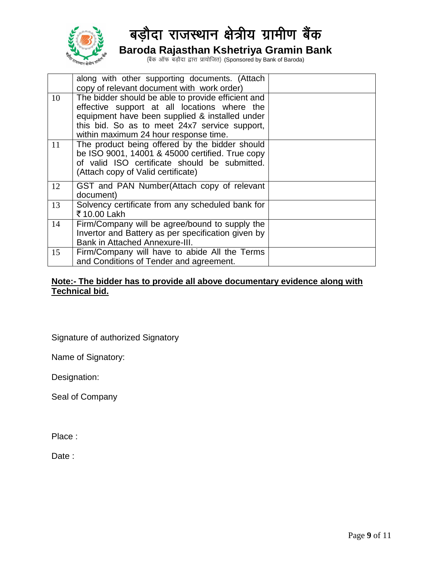

(बैंक ऑफ बड़ौदा द्वारा प्रायोजित) (Sponsored by Bank of Baroda)

|    | along with other supporting documents. (Attach<br>copy of relevant document with work order)                                                                                                                                                   |  |
|----|------------------------------------------------------------------------------------------------------------------------------------------------------------------------------------------------------------------------------------------------|--|
| 10 | The bidder should be able to provide efficient and<br>effective support at all locations where the<br>equipment have been supplied & installed under<br>this bid. So as to meet 24x7 service support,<br>within maximum 24 hour response time. |  |
| 11 | The product being offered by the bidder should<br>be ISO 9001, 14001 & 45000 certified. True copy<br>of valid ISO certificate should be submitted.<br>(Attach copy of Valid certificate)                                                       |  |
| 12 | GST and PAN Number(Attach copy of relevant<br>document)                                                                                                                                                                                        |  |
| 13 | Solvency certificate from any scheduled bank for<br>₹10.00 Lakh                                                                                                                                                                                |  |
| 14 | Firm/Company will be agree/bound to supply the<br>Invertor and Battery as per specification given by<br><b>Bank in Attached Annexure-III.</b>                                                                                                  |  |
| 15 | Firm/Company will have to abide All the Terms<br>and Conditions of Tender and agreement.                                                                                                                                                       |  |

#### **Note:- The bidder has to provide all above documentary evidence along with Technical bid.**

Signature of authorized Signatory

Name of Signatory:

Designation:

Seal of Company

Place :

Date: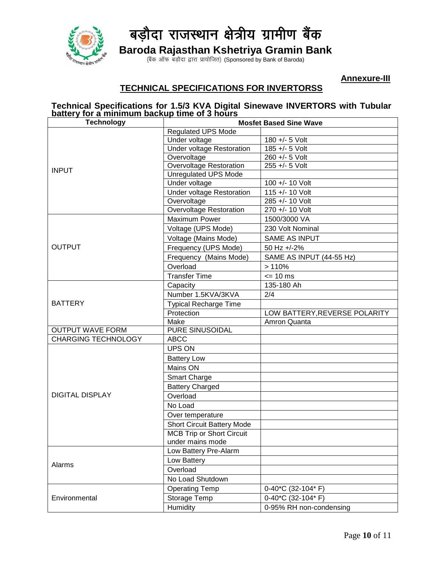

(बैंक ऑफ बड़ौदा द्वारा प्रायोजित) (Sponsored by Bank of Baroda)

 **Annexure-III**

### **TECHNICAL SPECIFICATIONS FOR INVERTORSS**

#### **Technical Specifications for 1.5/3 KVA Digital Sinewave INVERTORS with Tubular battery for a minimum backup time of 3 hours**

| <b>Technology</b>                                                                                                                                             | <b>Mosfet Based Sine Wave</b>     |                               |
|---------------------------------------------------------------------------------------------------------------------------------------------------------------|-----------------------------------|-------------------------------|
|                                                                                                                                                               | <b>Regulated UPS Mode</b>         |                               |
| <b>INPUT</b><br><b>OUTPUT</b><br><b>BATTERY</b><br><b>OUTPUT WAVE FORM</b><br><b>CHARGING TECHNOLOGY</b><br><b>DIGITAL DISPLAY</b><br>Alarms<br>Environmental | Under voltage                     | 180 +/- 5 Volt                |
|                                                                                                                                                               | <b>Under voltage Restoration</b>  | 185 +/- 5 Volt                |
|                                                                                                                                                               | Overvoltage                       | 260 +/- 5 Volt                |
|                                                                                                                                                               | <b>Overvoltage Restoration</b>    | 255 +/- 5 Volt                |
|                                                                                                                                                               | <b>Unregulated UPS Mode</b>       |                               |
|                                                                                                                                                               | Under voltage                     | 100 +/- 10 Volt               |
|                                                                                                                                                               | Under voltage Restoration         | 115 +/- 10 Volt               |
|                                                                                                                                                               | Overvoltage                       | 285 +/- 10 Volt               |
|                                                                                                                                                               | <b>Overvoltage Restoration</b>    | 270 +/- 10 Volt               |
|                                                                                                                                                               | <b>Maximum Power</b>              | 1500/3000 VA                  |
|                                                                                                                                                               | Voltage (UPS Mode)                | 230 Volt Nominal              |
|                                                                                                                                                               | Voltage (Mains Mode)              | <b>SAME AS INPUT</b>          |
|                                                                                                                                                               | Frequency (UPS Mode)              | 50 Hz +/-2%                   |
|                                                                                                                                                               | Frequency (Mains Mode)            | SAME AS INPUT (44-55 Hz)      |
|                                                                                                                                                               | Overload                          | >110%                         |
|                                                                                                                                                               | <b>Transfer Time</b>              | $= 10$ ms                     |
|                                                                                                                                                               | Capacity                          | 135-180 Ah                    |
|                                                                                                                                                               | Number 1.5KVA/3KVA                | 2/4                           |
|                                                                                                                                                               | <b>Typical Recharge Time</b>      |                               |
|                                                                                                                                                               | Protection                        | LOW BATTERY, REVERSE POLARITY |
|                                                                                                                                                               | Make                              | Amron Quanta                  |
|                                                                                                                                                               | <b>PURE SINUSOIDAL</b>            |                               |
|                                                                                                                                                               | <b>ABCC</b>                       |                               |
|                                                                                                                                                               | <b>UPS ON</b>                     |                               |
|                                                                                                                                                               | <b>Battery Low</b>                |                               |
|                                                                                                                                                               | Mains ON                          |                               |
|                                                                                                                                                               | <b>Smart Charge</b>               |                               |
|                                                                                                                                                               | <b>Battery Charged</b>            |                               |
|                                                                                                                                                               | Overload                          |                               |
|                                                                                                                                                               | No Load                           |                               |
|                                                                                                                                                               | Over temperature                  |                               |
|                                                                                                                                                               | <b>Short Circuit Battery Mode</b> |                               |
|                                                                                                                                                               | <b>MCB Trip or Short Circuit</b>  |                               |
|                                                                                                                                                               | under mains mode                  |                               |
|                                                                                                                                                               | Low Battery Pre-Alarm             |                               |
|                                                                                                                                                               | Low Battery                       |                               |
|                                                                                                                                                               | Overload                          |                               |
|                                                                                                                                                               | No Load Shutdown                  |                               |
|                                                                                                                                                               |                                   |                               |
|                                                                                                                                                               | <b>Operating Temp</b>             | 0-40*C (32-104* F)            |
|                                                                                                                                                               | Storage Temp                      | 0-40*C (32-104* F)            |
|                                                                                                                                                               | Humidity                          | 0-95% RH non-condensing       |